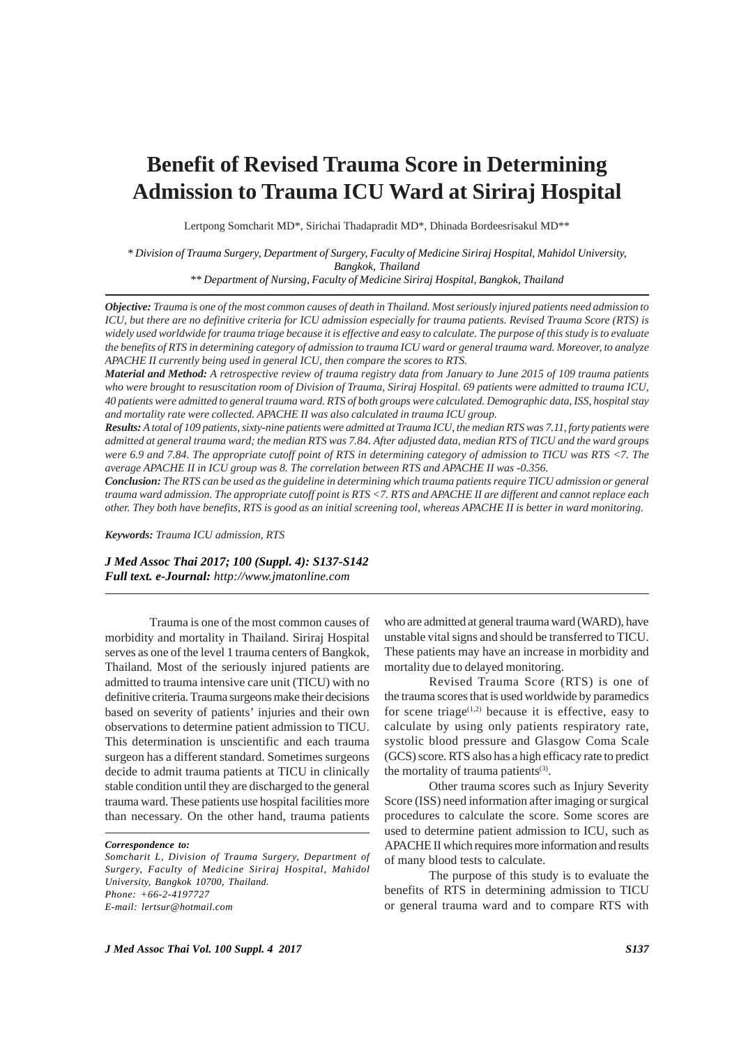# **Benefit of Revised Trauma Score in Determining Admission to Trauma ICU Ward at Siriraj Hospital**

Lertpong Somcharit MD\*, Sirichai Thadapradit MD\*, Dhinada Bordeesrisakul MD\*\*

*\* Division of Trauma Surgery, Department of Surgery, Faculty of Medicine Siriraj Hospital, Mahidol University, Bangkok, Thailand \*\* Department of Nursing, Faculty of Medicine Siriraj Hospital, Bangkok, Thailand*

*Objective: Trauma is one of the most common causes of death in Thailand. Most seriously injured patients need admission to ICU, but there are no definitive criteria for ICU admission especially for trauma patients. Revised Trauma Score (RTS) is widely used worldwide for trauma triage because it is effective and easy to calculate. The purpose of this study is to evaluate the benefits of RTS in determining category of admission to trauma ICU ward or general trauma ward. Moreover, to analyze APACHE II currently being used in general ICU, then compare the scores to RTS.*

*Material and Method: A retrospective review of trauma registry data from January to June 2015 of 109 trauma patients who were brought to resuscitation room of Division of Trauma, Siriraj Hospital. 69 patients were admitted to trauma ICU, 40 patients were admitted to general trauma ward. RTS of both groups were calculated. Demographic data, ISS, hospital stay and mortality rate were collected. APACHE II was also calculated in trauma ICU group.*

*Results: A total of 109 patients, sixty-nine patients were admitted at Trauma ICU, the median RTS was 7.11, forty patients were admitted at general trauma ward; the median RTS was 7.84. After adjusted data, median RTS of TICU and the ward groups were 6.9 and 7.84. The appropriate cutoff point of RTS in determining category of admission to TICU was RTS <7. The average APACHE II in ICU group was 8. The correlation between RTS and APACHE II was -0.356.*

*Conclusion: The RTS can be used as the guideline in determining which trauma patients require TICU admission or general trauma ward admission. The appropriate cutoff point is RTS <7. RTS and APACHE II are different and cannot replace each other. They both have benefits, RTS is good as an initial screening tool, whereas APACHE II is better in ward monitoring.*

*Keywords: Trauma ICU admission, RTS*

*J Med Assoc Thai 2017; 100 (Suppl. 4): S137-S142 Full text. e-Journal: http://www.jmatonline.com*

Trauma is one of the most common causes of morbidity and mortality in Thailand. Siriraj Hospital serves as one of the level 1 trauma centers of Bangkok, Thailand. Most of the seriously injured patients are admitted to trauma intensive care unit (TICU) with no definitive criteria. Trauma surgeons make their decisions based on severity of patients' injuries and their own observations to determine patient admission to TICU. This determination is unscientific and each trauma surgeon has a different standard. Sometimes surgeons decide to admit trauma patients at TICU in clinically stable condition until they are discharged to the general trauma ward. These patients use hospital facilities more than necessary. On the other hand, trauma patients

*Somcharit L, Division of Trauma Surgery, Department of Surgery, Faculty of Medicine Siriraj Hospital, Mahidol University, Bangkok 10700, Thailand. Phone: +66-2-4197727 E-mail: lertsur@hotmail.com*

who are admitted at general trauma ward (WARD), have unstable vital signs and should be transferred to TICU. These patients may have an increase in morbidity and mortality due to delayed monitoring.

Revised Trauma Score (RTS) is one of the trauma scores that is used worldwide by paramedics for scene triage $(1,2)$  because it is effective, easy to calculate by using only patients respiratory rate, systolic blood pressure and Glasgow Coma Scale (GCS) score. RTS also has a high efficacy rate to predict the mortality of trauma patients $(3)$ .

Other trauma scores such as Injury Severity Score (ISS) need information after imaging or surgical procedures to calculate the score. Some scores are used to determine patient admission to ICU, such as APACHE II which requires more information and results of many blood tests to calculate.

The purpose of this study is to evaluate the benefits of RTS in determining admission to TICU or general trauma ward and to compare RTS with

*Correspondence to:*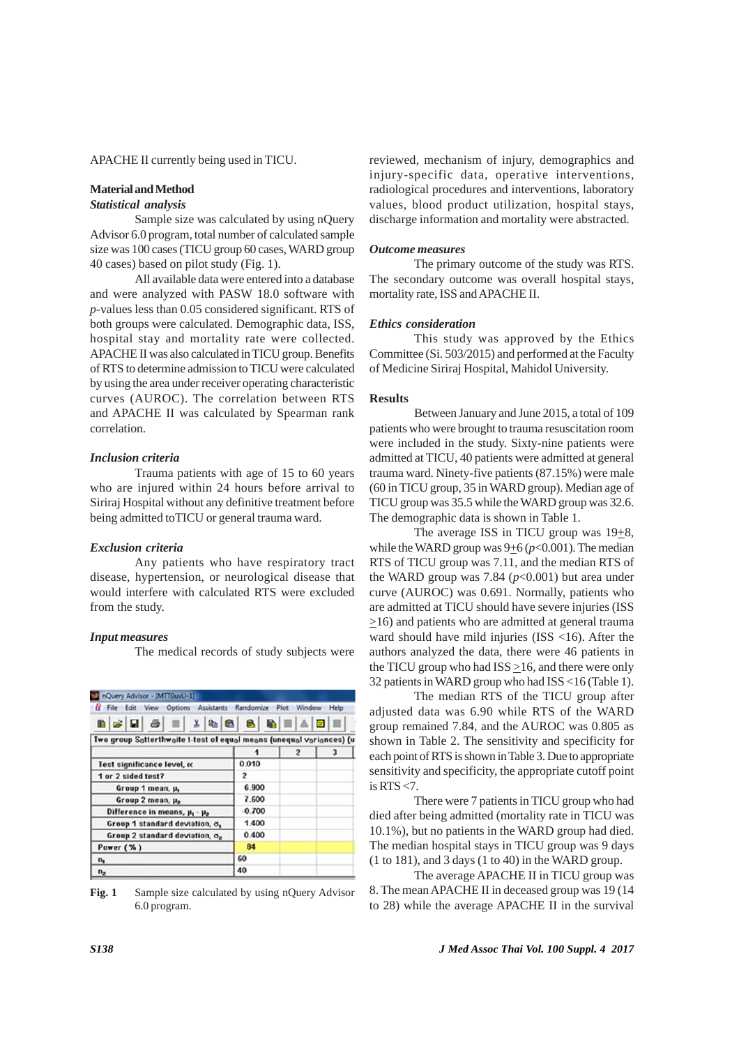APACHE II currently being used in TICU.

#### **Material and Method**

## *Statistical analysis*

Sample size was calculated by using nQuery Advisor 6.0 program, total number of calculated sample size was 100 cases (TICU group 60 cases, WARD group 40 cases) based on pilot study (Fig. 1).

All available data were entered into a database and were analyzed with PASW 18.0 software with *p*-values less than 0.05 considered significant. RTS of both groups were calculated. Demographic data, ISS, hospital stay and mortality rate were collected. APACHE II was also calculated in TICU group. Benefits of RTS to determine admission to TICU were calculated by using the area under receiver operating characteristic curves (AUROC). The correlation between RTS and APACHE II was calculated by Spearman rank correlation.

## *Inclusion criteria*

Trauma patients with age of 15 to 60 years who are injured within 24 hours before arrival to Siriraj Hospital without any definitive treatment before being admitted toTICU or general trauma ward.

### *Exclusion criteria*

Any patients who have respiratory tract disease, hypertension, or neurological disease that would interfere with calculated RTS were excluded from the study.

#### *Input measures*

The medical records of study subjects were



**Fig. 1** Sample size calculated by using nQuery Advisor 6.0 program.

reviewed, mechanism of injury, demographics and injury-specific data, operative interventions, radiological procedures and interventions, laboratory values, blood product utilization, hospital stays, discharge information and mortality were abstracted.

#### *Outcome measures*

The primary outcome of the study was RTS. The secondary outcome was overall hospital stays, mortality rate, ISS and APACHE II.

#### *Ethics consideration*

This study was approved by the Ethics Committee (Si. 503/2015) and performed at the Faculty of Medicine Siriraj Hospital, Mahidol University.

#### **Results**

Between January and June 2015, a total of 109 patients who were brought to trauma resuscitation room were included in the study. Sixty-nine patients were admitted at TICU, 40 patients were admitted at general trauma ward. Ninety-five patients (87.15%) were male (60 in TICU group, 35 in WARD group). Median age of TICU group was 35.5 while the WARD group was 32.6. The demographic data is shown in Table 1.

The average ISS in TICU group was  $19+8$ , while the WARD group was  $9+6$  ( $p<0.001$ ). The median RTS of TICU group was 7.11, and the median RTS of the WARD group was 7.84 ( $p<0.001$ ) but area under curve (AUROC) was 0.691. Normally, patients who are admitted at TICU should have severe injuries (ISS  $\geq$ 16) and patients who are admitted at general trauma ward should have mild injuries (ISS <16). After the authors analyzed the data, there were 46 patients in the TICU group who had  $ISS \ge 16$ , and there were only 32 patients in WARD group who had ISS <16 (Table 1).

The median RTS of the TICU group after adjusted data was 6.90 while RTS of the WARD group remained 7.84, and the AUROC was 0.805 as shown in Table 2. The sensitivity and specificity for each point of RTS is shown in Table 3. Due to appropriate sensitivity and specificity, the appropriate cutoff point is  $RTS < 7$ .

There were 7 patients in TICU group who had died after being admitted (mortality rate in TICU was 10.1%), but no patients in the WARD group had died. The median hospital stays in TICU group was 9 days (1 to 181), and 3 days (1 to 40) in the WARD group.

The average APACHE II in TICU group was 8. The mean APACHE II in deceased group was 19 (14 to 28) while the average APACHE II in the survival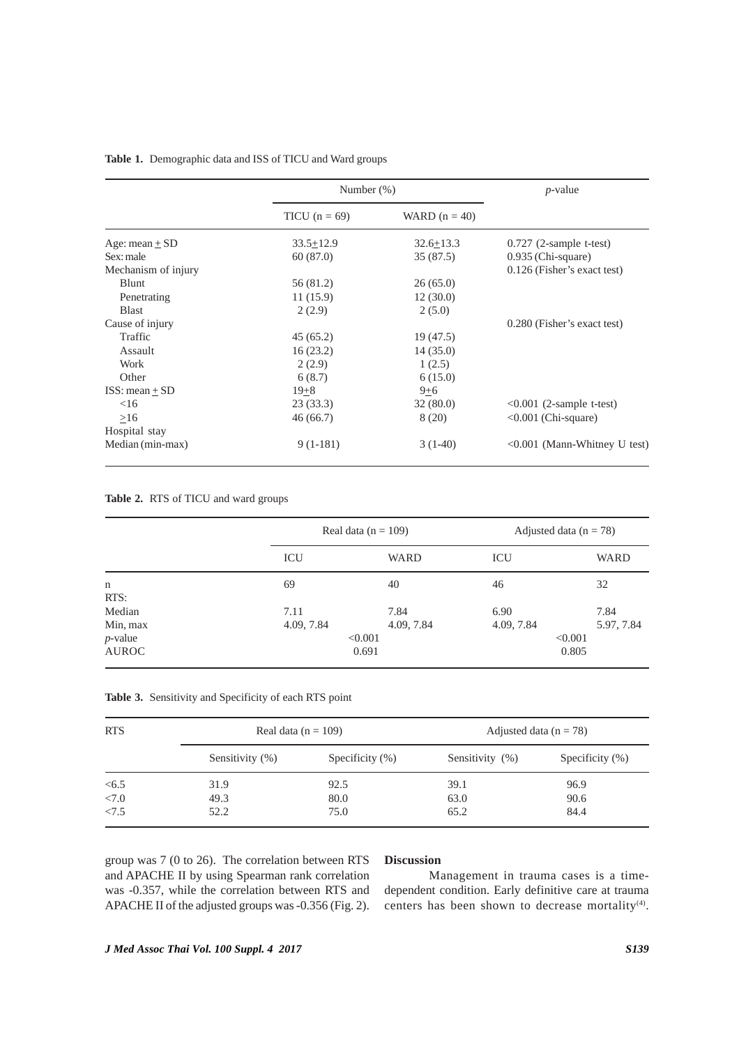| Table 1. Demographic data and ISS of TICU and Ward groups |  |
|-----------------------------------------------------------|--|
|-----------------------------------------------------------|--|

|                     | Number $(\%)$   |                 | $p$ -value                         |
|---------------------|-----------------|-----------------|------------------------------------|
|                     | $TICU$ (n = 69) | WARD $(n = 40)$ |                                    |
| Age: mean $+$ SD    | $33.5 + 12.9$   | $32.6 + 13.3$   | $0.727$ (2-sample t-test)          |
| Sex: male           | 60(87.0)        | 35 (87.5)       | $0.935$ (Chi-square)               |
| Mechanism of injury |                 |                 | 0.126 (Fisher's exact test)        |
| Blunt               | 56 (81.2)       | 26(65.0)        |                                    |
| Penetrating         | 11(15.9)        | 12(30.0)        |                                    |
| <b>Blast</b>        | 2(2.9)          | 2(5.0)          |                                    |
| Cause of injury     |                 |                 | 0.280 (Fisher's exact test)        |
| Traffic             | 45 (65.2)       | 19(47.5)        |                                    |
| Assault             | 16(23.2)        | 14(35.0)        |                                    |
| Work                | 2(2.9)          | 1(2.5)          |                                    |
| Other               | 6(8.7)          | 6(15.0)         |                                    |
| $ISS: mean + SD$    | $19 + 8$        | $9 + 6$         |                                    |
| <16                 | 23(33.3)        | 32(80.0)        | $\leq 0.001$ (2-sample t-test)     |
| >16                 | 46 (66.7)       | 8 (20)          | $< 0.001$ (Chi-square)             |
| Hospital stay       |                 |                 |                                    |
| Median (min-max)    | $9(1-181)$      | $3(1-40)$       | $\leq 0.001$ (Mann-Whitney U test) |

**Table 2.** RTS of TICU and ward groups

|              |            | Real data ( $n = 109$ ) |            | Adjusted data ( $n = 78$ ) |  |
|--------------|------------|-------------------------|------------|----------------------------|--|
|              | ICU        | <b>WARD</b>             | ICU        | <b>WARD</b>                |  |
| n<br>RTS:    | 69         | 40                      | 46         | 32                         |  |
| Median       | 7.11       | 7.84                    | 6.90       | 7.84                       |  |
| Min, max     | 4.09, 7.84 | 4.09, 7.84              | 4.09, 7.84 | 5.97, 7.84                 |  |
| $p$ -value   |            | < 0.001                 |            | < 0.001                    |  |
| <b>AUROC</b> |            | 0.691                   |            | 0.805                      |  |

|  |  | Table 3. Sensitivity and Specificity of each RTS point |  |  |
|--|--|--------------------------------------------------------|--|--|
|--|--|--------------------------------------------------------|--|--|

| <b>RTS</b> |                 | Real data ( $n = 109$ ) |                    | Adjusted data ( $n = 78$ ) |  |
|------------|-----------------|-------------------------|--------------------|----------------------------|--|
|            | Sensitivity (%) | Specificity $(\%)$      | Sensitivity $(\%)$ | Specificity $(\%)$         |  |
| <6.5       | 31.9            | 92.5                    | 39.1               | 96.9                       |  |
| < 7.0      | 49.3            | 80.0                    | 63.0               | 90.6                       |  |
| < 7.5      | 52.2            | 75.0                    | 65.2               | 84.4                       |  |

group was 7 (0 to 26). The correlation between RTS and APACHE II by using Spearman rank correlation was -0.357, while the correlation between RTS and APACHE II of the adjusted groups was -0.356 (Fig. 2).

## **Discussion**

Management in trauma cases is a timedependent condition. Early definitive care at trauma centers has been shown to decrease mortality $(4)$ .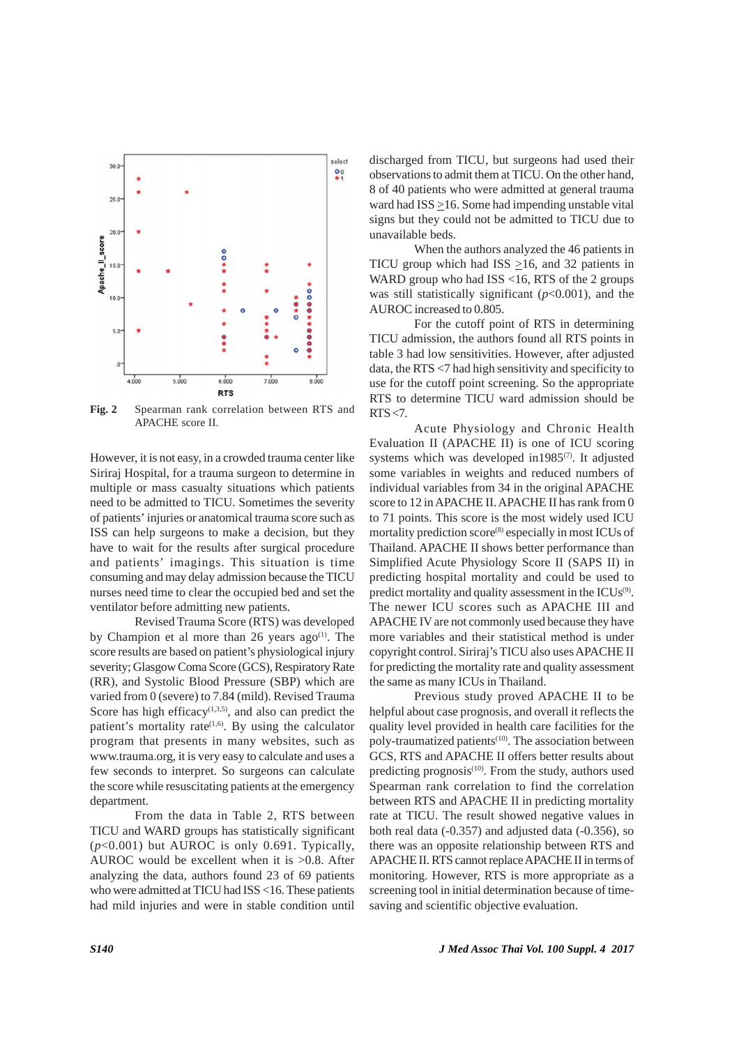

**Fig. 2** Spearman rank correlation between RTS and APACHE score II.

However, it is not easy, in a crowded trauma center like Siriraj Hospital, for a trauma surgeon to determine in multiple or mass casualty situations which patients need to be admitted to TICU. Sometimes the severity of patients' injuries or anatomical trauma score such as ISS can help surgeons to make a decision, but they have to wait for the results after surgical procedure and patients' imagings. This situation is time consuming and may delay admission because the TICU nurses need time to clear the occupied bed and set the ventilator before admitting new patients.

Revised Trauma Score (RTS) was developed by Champion et al more than 26 years  $ago^{(1)}$ . The score results are based on patient's physiological injury severity; Glasgow Coma Score (GCS), Respiratory Rate (RR), and Systolic Blood Pressure (SBP) which are varied from 0 (severe) to 7.84 (mild). Revised Trauma Score has high efficacy $(1,3,5)$ , and also can predict the patient's mortality rate $(1,6)$ . By using the calculator program that presents in many websites, such as www.trauma.org, it is very easy to calculate and uses a few seconds to interpret. So surgeons can calculate the score while resuscitating patients at the emergency department.

From the data in Table 2, RTS between TICU and WARD groups has statistically significant (*p*<0.001) but AUROC is only 0.691. Typically, AUROC would be excellent when it is >0.8. After analyzing the data, authors found 23 of 69 patients who were admitted at TICU had ISS <16. These patients had mild injuries and were in stable condition until

discharged from TICU, but surgeons had used their observations to admit them at TICU. On the other hand, 8 of 40 patients who were admitted at general trauma ward had  $ISS \geq 16$ . Some had impending unstable vital signs but they could not be admitted to TICU due to unavailable beds.

When the authors analyzed the 46 patients in TICU group which had ISS  $\geq$ 16, and 32 patients in WARD group who had ISS <16, RTS of the 2 groups was still statistically significant  $(p<0.001)$ , and the AUROC increased to 0.805.

For the cutoff point of RTS in determining TICU admission, the authors found all RTS points in table 3 had low sensitivities. However, after adjusted data, the RTS <7 had high sensitivity and specificity to use for the cutoff point screening. So the appropriate RTS to determine TICU ward admission should be  $RTS < 7$ .

Acute Physiology and Chronic Health Evaluation II (APACHE II) is one of ICU scoring systems which was developed in  $1985^{(7)}$ . It adjusted some variables in weights and reduced numbers of individual variables from 34 in the original APACHE score to 12 in APACHE II. APACHE II has rank from 0 to 71 points. This score is the most widely used ICU mortality prediction score<sup>(8)</sup> especially in most ICUs of Thailand. APACHE II shows better performance than Simplified Acute Physiology Score II (SAPS II) in predicting hospital mortality and could be used to predict mortality and quality assessment in the  $ICUs^{(9)}$ . The newer ICU scores such as APACHE III and APACHE IV are not commonly used because they have more variables and their statistical method is under copyright control. Siriraj's TICU also uses APACHE II for predicting the mortality rate and quality assessment the same as many ICUs in Thailand.

Previous study proved APACHE II to be helpful about case prognosis, and overall it reflects the quality level provided in health care facilities for the poly-traumatized patients<sup>(10)</sup>. The association between GCS, RTS and APACHE II offers better results about predicting prognosis<sup> $(10)$ </sup>. From the study, authors used Spearman rank correlation to find the correlation between RTS and APACHE II in predicting mortality rate at TICU. The result showed negative values in both real data (-0.357) and adjusted data (-0.356), so there was an opposite relationship between RTS and APACHE II. RTS cannot replace APACHE II in terms of monitoring. However, RTS is more appropriate as a screening tool in initial determination because of timesaving and scientific objective evaluation.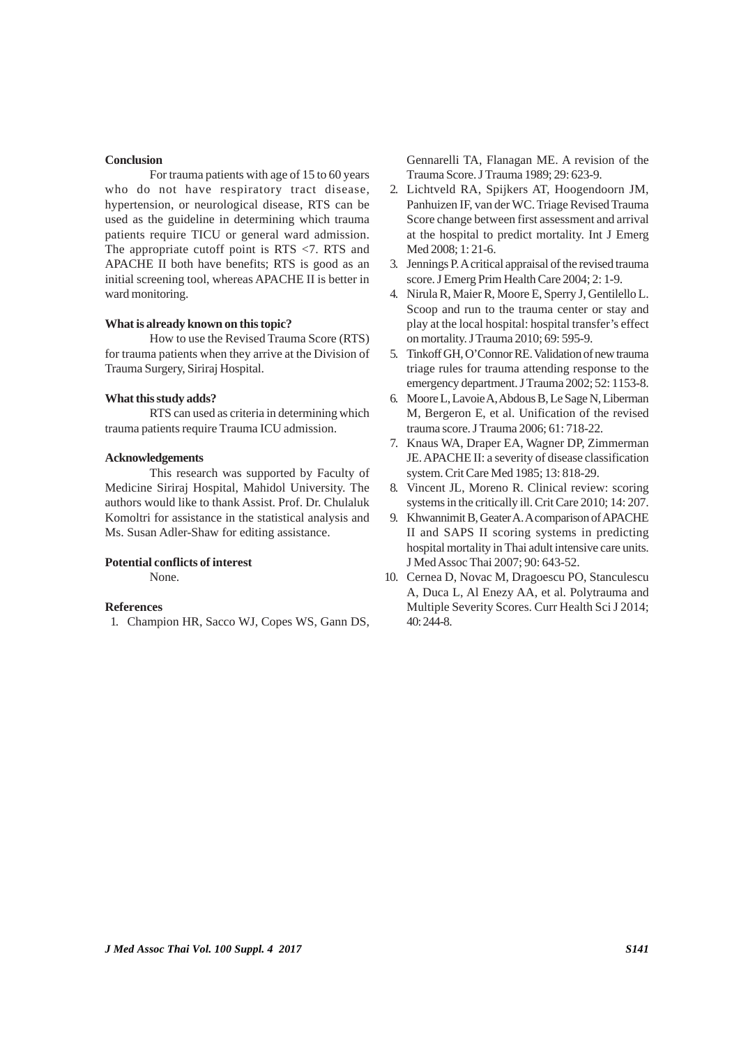#### **Conclusion**

For trauma patients with age of 15 to 60 years who do not have respiratory tract disease, hypertension, or neurological disease, RTS can be used as the guideline in determining which trauma patients require TICU or general ward admission. The appropriate cutoff point is RTS <7. RTS and APACHE II both have benefits; RTS is good as an initial screening tool, whereas APACHE II is better in ward monitoring.

## **What is already known on this topic?**

How to use the Revised Trauma Score (RTS) for trauma patients when they arrive at the Division of Trauma Surgery, Siriraj Hospital.

#### **What this study adds?**

RTS can used as criteria in determining which trauma patients require Trauma ICU admission.

## **Acknowledgements**

This research was supported by Faculty of Medicine Siriraj Hospital, Mahidol University. The authors would like to thank Assist. Prof. Dr. Chulaluk Komoltri for assistance in the statistical analysis and Ms. Susan Adler-Shaw for editing assistance.

## **Potential conflicts of interest**

None.

## **References**

1. Champion HR, Sacco WJ, Copes WS, Gann DS,

Gennarelli TA, Flanagan ME. A revision of the Trauma Score. J Trauma 1989; 29: 623-9.

- 2. Lichtveld RA, Spijkers AT, Hoogendoorn JM, Panhuizen IF, van der WC. Triage Revised Trauma Score change between first assessment and arrival at the hospital to predict mortality. Int J Emerg Med 2008; 1: 21-6.
- 3. Jennings P. A critical appraisal of the revised trauma score. J Emerg Prim Health Care 2004; 2: 1-9.
- 4. Nirula R, Maier R, Moore E, Sperry J, Gentilello L. Scoop and run to the trauma center or stay and play at the local hospital: hospital transfer's effect on mortality. J Trauma 2010; 69: 595-9.
- 5. Tinkoff GH, O'Connor RE. Validation of new trauma triage rules for trauma attending response to the emergency department. J Trauma 2002; 52: 1153-8.
- 6. Moore L, Lavoie A, Abdous B, Le Sage N, Liberman M, Bergeron E, et al. Unification of the revised trauma score. J Trauma 2006; 61: 718-22.
- 7. Knaus WA, Draper EA, Wagner DP, Zimmerman JE. APACHE II: a severity of disease classification system. Crit Care Med 1985; 13: 818-29.
- 8. Vincent JL, Moreno R. Clinical review: scoring systems in the critically ill. Crit Care 2010; 14: 207.
- 9. Khwannimit B, Geater A. A comparison of APACHE II and SAPS II scoring systems in predicting hospital mortality in Thai adult intensive care units. J Med Assoc Thai 2007; 90: 643-52.
- 10. Cernea D, Novac M, Dragoescu PO, Stanculescu A, Duca L, Al Enezy AA, et al. Polytrauma and Multiple Severity Scores. Curr Health Sci J 2014; 40: 244-8.